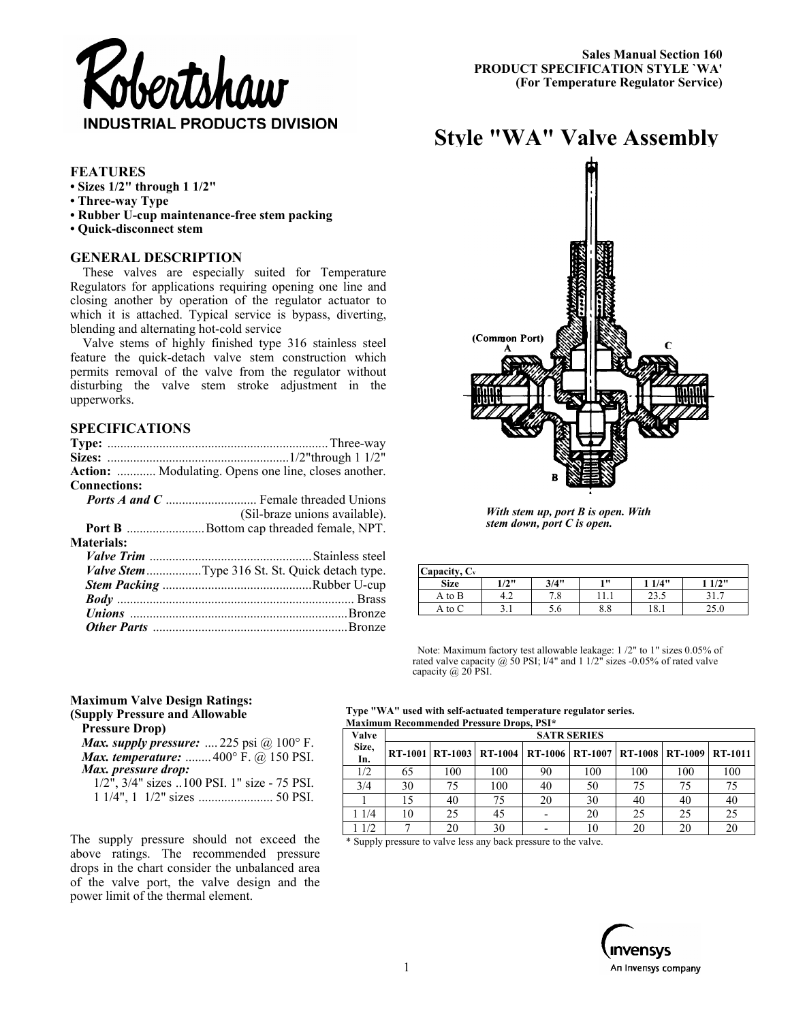

**Style "WA" Valve Assembly** 

# **FEATURES**

- **Sizes 1/2" through 1 1/2"**
- **Three-way Type**
- **Rubber U-cup maintenance-free stem packing**
- **Quick-disconnect stem**

# **GENERAL DESCRIPTION**

These valves are especially suited for Temperature Regulators for applications requiring opening one line and closing another by operation of the regulator actuator to which it is attached. Typical service is bypass, diverting, blending and alternating hot-cold service

Valve stems of highly finished type 316 stainless steel feature the quick-detach valve stem construction which permits removal of the valve from the regulator without disturbing the valve stem stroke adjustment in the upperworks.

# **SPECIFICATIONS**

|                     | Action:  Modulating. Opens one line, closes another.  |
|---------------------|-------------------------------------------------------|
| <b>Connections:</b> |                                                       |
|                     |                                                       |
|                     | (Sil-braze unions available).                         |
|                     | <b>Port B</b> Bottom cap threaded female, NPT.        |
| <b>Materials:</b>   |                                                       |
|                     |                                                       |
|                     | <i>Valve Stem</i> Type 316 St. St. Quick detach type. |
|                     |                                                       |
|                     |                                                       |
|                     |                                                       |
|                     |                                                       |

# (Common Port)

*With stem up, port B is open. With stem down, port C is open.* 

| Capacity, $C_v$ |         |      |      |      |      |
|-----------------|---------|------|------|------|------|
| <b>Size</b>     | $1/2$ " | 3/4" | 1 11 | 1/4" | 1/2" |
| A to B          | 4.2     | 7.8  | 11.1 | 23.5 | ، ب  |
| A to C          | ، د     | 5.6  | 8.8  | 18.1 | 25.0 |

Note: Maximum factory test allowable leakage: 1 /2" to 1" sizes 0.05% of rated valve capacity  $\omega$  50 PSI; 1/4" and 1 1/2" sizes -0.05% of rated valve capacity @ 20 PSI.

### **Maximum Valve Design Ratings: (Supply Pressure and Allowable Pressure Drop)**

| <b>Pressure Drop</b>                        |  |
|---------------------------------------------|--|
| Max. supply pressure:  225 psi $@100°$ F.   |  |
| <b>Max. temperature:</b> 400° F. @ 150 PSI. |  |
| Max. pressure drop:                         |  |

| $1/2$ ", $3/4$ " sizes 100 PSI. 1" size - 75 PSI. |  |
|---------------------------------------------------|--|
|                                                   |  |

The supply pressure should not exceed the above ratings. The recommended pressure drops in the chart consider the unbalanced area of the valve port, the valve design and the power limit of the thermal element.

### **Type "WA" used with self-actuated temperature regulator series. Maximum Recommended Pressure Drops, PSI\***

| Valve        |    |     | <b>SATR SERIES</b>                                              |    |     |     |     |     |
|--------------|----|-----|-----------------------------------------------------------------|----|-----|-----|-----|-----|
| Size,<br>In. |    |     | RT-1001 RT-1003 RT-1004 RT-1006 RT-1007 RT-1008 RT-1009 RT-1011 |    |     |     |     |     |
| 1/2          | 65 | 100 | 100                                                             | 90 | 100 | 100 | 100 | 100 |
| 3/4          | 30 |     | 100                                                             | 40 | 50  |     | 75  | 75  |
|              |    | 40  | 75                                                              | 20 | 30  |     | 40  | 40  |
| 1 1/4        | 10 | 25  | 45                                                              |    | 20  | 25  | 25  | 25  |
| 1/2          |    |     | 30                                                              |    |     |     | 20  | 20  |

\* Supply pressure to valve less any back pressure to the valve.